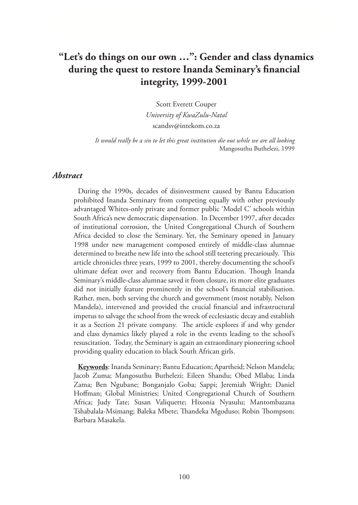# **"Let's do things on our own …": Gender and class dynamics during the quest to restore Inanda Seminary's financial integrity, 1999-2001**

Scott Everett Couper *University of KwaZulu-Natal* scandsv@intekom.co.za

*It would really be a sin to let this great institution die out while we are all looking*  Mangosuthu Buthelezi, 1999

#### *Abstract*

During the 1990s, decades of disinvestment caused by Bantu Education prohibited Inanda Seminary from competing equally with other previously advantaged Whites-only private and former public 'Model C' schools within South Africa's new democratic dispensation. In December 1997, after decades of institutional corrosion, the United Congregational Church of Southern Africa decided to close the Seminary. Yet, the Seminary opened in January 1998 under new management composed entirely of middle-class alumnae determined to breathe new life into the school still teetering precariously. This article chronicles three years, 1999 to 2001, thereby documenting the school's ultimate defeat over and recovery from Bantu Education. Though Inanda Seminary's middle-class alumnae saved it from closure, its more elite graduates did not initially feature prominently in the school's financial stabilisation. Rather, men, both serving the church and government (most notably, Nelson Mandela), intervened and provided the crucial financial and infrastructural impetus to salvage the school from the wreck of ecclesiastic decay and establish it as a Section 21 private company. The article explores if and why gender and class dynamics likely played a role in the events leading to the school's resuscitation. Today, the Seminary is again an extraordinary pioneering school providing quality education to black South African girls.

**Keywords**: Inanda Seminary; Bantu Education; Apartheid; Nelson Mandela; Jacob Zuma; Mangosuthu Buthelezi; Eileen Shandu; Obed Mlaba; Linda Zama; Ben Ngubane; Bonganjalo Goba; Sappi; Jeremiah Wright; Daniel Hoffman; Global Ministries; United Congregational Church of Southern Africa; Judy Tate; Susan Valiquette; Hixonia Nyasulu; Mantombazana Tshabalala-Msimang; Baleka Mbete; Thandeka Mgoduso; Robin Thompson; Barbara Masakela.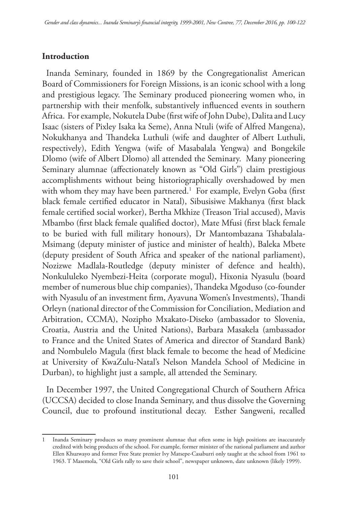### **Introduction**

Inanda Seminary, founded in 1869 by the Congregationalist American Board of Commissioners for Foreign Missions, is an iconic school with a long and prestigious legacy. The Seminary produced pioneering women who, in partnership with their menfolk, substantively influenced events in southern Africa. For example, Nokutela Dube (first wife of John Dube), Dalita and Lucy Isaac (sisters of Pixley Isaka ka Seme), Anna Ntuli (wife of Alfred Mangena), Nokukhanya and Thandeka Luthuli (wife and daughter of Albert Luthuli, respectively), Edith Yengwa (wife of Masabalala Yengwa) and Bongekile Dlomo (wife of Albert Dlomo) all attended the Seminary. Many pioneering Seminary alumnae (affectionately known as "Old Girls") claim prestigious accomplishments without being historiographically overshadowed by men with whom they may have been partnered.<sup>1</sup> For example, Evelyn Goba (first black female certified educator in Natal), Sibusisiwe Makhanya (first black female certified social worker), Bertha Mkhize (Treason Trial accused), Mavis Mbambo (first black female qualified doctor), Mate Mfusi (first black female to be buried with full military honours), Dr Mantombazana Tshabalala-Msimang (deputy minister of justice and minister of health), Baleka Mbete (deputy president of South Africa and speaker of the national parliament), Nozizwe Madlala-Routledge (deputy minister of defence and health), Nonkululeko Nyembezi-Heita (corporate mogul), Hixonia Nyasulu (board member of numerous blue chip companies), Thandeka Mgoduso (co-founder with Nyasulu of an investment firm, Ayavuna Women's Investments), Thandi Orleyn (national director of the Commission for Conciliation, Mediation and Arbitration, CCMA), Nozipho Mxakato-Diseko (ambassador to Slovenia, Croatia, Austria and the United Nations), Barbara Masakela (ambassador to France and the United States of America and director of Standard Bank) and Nombulelo Magula (first black female to become the head of Medicine at University of KwaZulu-Natal's Nelson Mandela School of Medicine in Durban), to highlight just a sample, all attended the Seminary.

In December 1997, the United Congregational Church of Southern Africa (UCCSA) decided to close Inanda Seminary, and thus dissolve the Governing Council, due to profound institutional decay. Esther Sangweni, recalled

<sup>1</sup> Inanda Seminary produces so many prominent alumnae that often some in high positions are inaccurately credited with being products of the school. For example, former minister of the national parliament and author Ellen Khuzwayo and former Free State premier Ivy Matsepe-Casaburri only taught at the school from 1961 to 1963. T Masemola, "Old Girls rally to save their school", newspaper unknown, date unknown (likely 1999).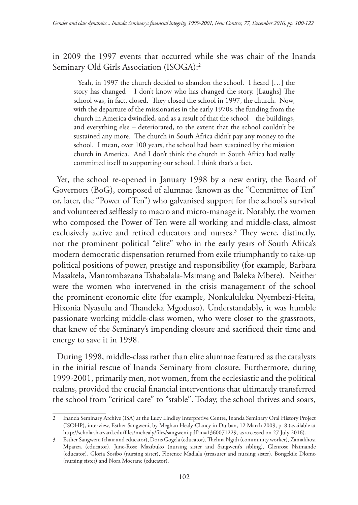in 2009 the 1997 events that occurred while she was chair of the Inanda Seminary Old Girls Association (ISOGA):2

Yeah, in 1997 the church decided to abandon the school. I heard […] the story has changed – I don't know who has changed the story. [Laughs] The school was, in fact, closed. They closed the school in 1997, the church. Now, with the departure of the missionaries in the early 1970s, the funding from the church in America dwindled, and as a result of that the school – the buildings, and everything else – deteriorated, to the extent that the school couldn't be sustained any more. The church in South Africa didn't pay any money to the school. I mean, over 100 years, the school had been sustained by the mission church in America. And I don't think the church in South Africa had really committed itself to supporting our school. I think that's a fact.

Yet, the school re-opened in January 1998 by a new entity, the Board of Governors (BoG), composed of alumnae (known as the "Committee of Ten" or, later, the "Power of Ten") who galvanised support for the school's survival and volunteered selflessly to macro and micro-manage it. Notably, the women who composed the Power of Ten were all working and middle-class, almost exclusively active and retired educators and nurses.<sup>3</sup> They were, distinctly, not the prominent political "elite" who in the early years of South Africa's modern democratic dispensation returned from exile triumphantly to take-up political positions of power, prestige and responsibility (for example, Barbara Masakela, Mantombazana Tshabalala-Msimang and Baleka Mbete). Neither were the women who intervened in the crisis management of the school the prominent economic elite (for example, Nonkululeku Nyembezi-Heita, Hixonia Nyasulu and Thandeka Mgoduso). Understandably, it was humble passionate working middle-class women, who were closer to the grassroots, that knew of the Seminary's impending closure and sacrificed their time and energy to save it in 1998.

During 1998, middle-class rather than elite alumnae featured as the catalysts in the initial rescue of Inanda Seminary from closure. Furthermore, during 1999-2001, primarily men, not women, from the ecclesiastic and the political realms, provided the crucial financial interventions that ultimately transferred the school from "critical care" to "stable". Today, the school thrives and soars,

<sup>2</sup> Inanda Seminary Archive (ISA) at the Lucy Lindley Interpretive Centre, Inanda Seminary Oral History Project (ISOHP), interview, Esther Sangweni, by Meghan Healy-Clancy in Durban, 12 March 2009, p. 8 (available at http://scholar.harvard.edu/files/mehealy/files/sangweni.pdf?m=1360071229, as accessed on 27 July 2016).

<sup>3</sup> Esther Sangweni (chair and educator), Doris Gogela (educator), Thelma Ngidi (community worker), Zamakhosi Mpanza (educator), June-Rose Mazibuko (nursing sister and Sangweni's sibling), Glenrose Nzimande (educator), Gloria Sosibo (nursing sister), Florence Madlala (treasurer and nursing sister), Bongekile Dlomo (nursing sister) and Nora Moerane (educator).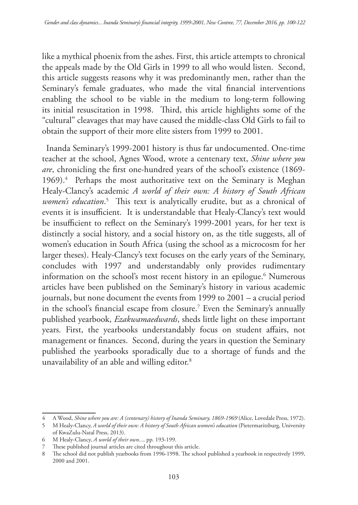like a mythical phoenix from the ashes. First, this article attempts to chronical the appeals made by the Old Girls in 1999 to all who would listen. Second, this article suggests reasons why it was predominantly men, rather than the Seminary's female graduates, who made the vital financial interventions enabling the school to be viable in the medium to long-term following its initial resuscitation in 1998. Third, this article highlights some of the "cultural" cleavages that may have caused the middle-class Old Girls to fail to obtain the support of their more elite sisters from 1999 to 2001.

Inanda Seminary's 1999-2001 history is thus far undocumented. One-time teacher at the school, Agnes Wood, wrote a centenary text, *Shine where you are*, chronicling the first one-hundred years of the school's existence (1869- 1969).<sup>4</sup> Perhaps the most authoritative text on the Seminary is Meghan Healy-Clancy's academic *A world of their own: A history of South African women's education*. 5 This text is analytically erudite, but as a chronical of events it is insufficient. It is understandable that Healy-Clancy's text would be insufficient to reflect on the Seminary's 1999-2001 years, for her text is distinctly a social history, and a social history on, as the title suggests, all of women's education in South Africa (using the school as a microcosm for her larger theses). Healy-Clancy's text focuses on the early years of the Seminary, concludes with 1997 and understandably only provides rudimentary information on the school's most recent history in an epilogue.6 Numerous articles have been published on the Seminary's history in various academic journals, but none document the events from 1999 to 2001 – a crucial period in the school's financial escape from closure.7 Even the Seminary's annually published yearbook, *Ezakwamaedwards*, sheds little light on these important years. First, the yearbooks understandably focus on student affairs, not management or finances. Second, during the years in question the Seminary published the yearbooks sporadically due to a shortage of funds and the unavailability of an able and willing editor.8

<sup>4</sup> A Wood, *Shine where you are: A (centenary) history of Inanda Seminary, 1869-1969* (Alice, Lovedale Press, 1972).

<sup>5</sup> M Healy-Clancy, *A world of their own: A history of South African women's education* (Pietermaritzburg, University of KwaZulu-Natal Press, 2013).

<sup>6</sup> M Healy-Clancy, *A world of their own...,* pp. 193-199.

<sup>7</sup> These published journal articles are cited throughout this article.

<sup>8</sup> The school did not publish yearbooks from 1996-1998. The school published a yearbook in respectively 1999, 2000 and 2001.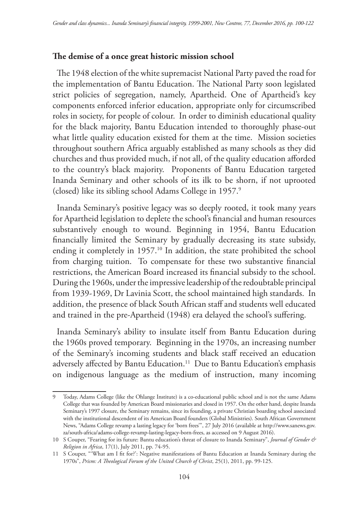## **The demise of a once great historic mission school**

The 1948 election of the white supremacist National Party paved the road for the implementation of Bantu Education. The National Party soon legislated strict policies of segregation, namely, Apartheid. One of Apartheid's key components enforced inferior education, appropriate only for circumscribed roles in society, for people of colour. In order to diminish educational quality for the black majority, Bantu Education intended to thoroughly phase-out what little quality education existed for them at the time. Mission societies throughout southern Africa arguably established as many schools as they did churches and thus provided much, if not all, of the quality education afforded to the country's black majority. Proponents of Bantu Education targeted Inanda Seminary and other schools of its ilk to be shorn, if not uprooted (closed) like its sibling school Adams College in 1957.9

Inanda Seminary's positive legacy was so deeply rooted, it took many years for Apartheid legislation to deplete the school's financial and human resources substantively enough to wound. Beginning in 1954, Bantu Education financially limited the Seminary by gradually decreasing its state subsidy, ending it completely in 1957.<sup>10</sup> In addition, the state prohibited the school from charging tuition. To compensate for these two substantive financial restrictions, the American Board increased its financial subsidy to the school. During the 1960s, under the impressive leadership of the redoubtable principal from 1939-1969, Dr Lavinia Scott, the school maintained high standards. In addition, the presence of black South African staff and students well educated and trained in the pre-Apartheid (1948) era delayed the school's suffering.

Inanda Seminary's ability to insulate itself from Bantu Education during the 1960s proved temporary. Beginning in the 1970s, an increasing number of the Seminary's incoming students and black staff received an education adversely affected by Bantu Education.<sup>11</sup> Due to Bantu Education's emphasis on indigenous language as the medium of instruction, many incoming

<sup>9</sup> Today, Adams College (like the Ohlange Institute) is a co-educational public school and is not the same Adams College that was founded by American Board missionaries and closed in 1957. On the other hand, despite Inanda Seminary's 1997 closure, the Seminary remains, since its founding, a private Christian boarding school associated with the institutional descendent of its American Board founders (Global Ministries). South African Government News, "Adams College revamp a lasting legacy for 'born frees'", 27 July 2016 (available at http://www.sanews.gov. za/south-africa/adams-college-revamp-lasting-legacy-born-frees, as accessed on 9 August 2016).

<sup>10</sup> S Couper, "Fearing for its future: Bantu education's threat of closure to Inanda Seminary", *Journal of Gender & Religion in Africa*, 17(1), July 2011, pp. 74-95.

<sup>11</sup> S Couper, "'What am I fit for?': Negative manifestations of Bantu Education at Inanda Seminary during the 1970s", *Prism: A Theological Forum of the United Church of Christ*, 25(1), 2011, pp. 99-125.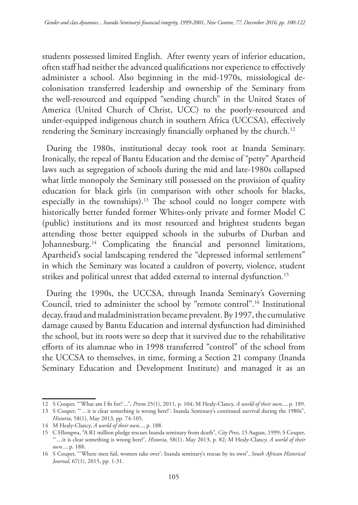students possessed limited English. After twenty years of inferior education, often staff had neither the advanced qualifications nor experience to effectively administer a school. Also beginning in the mid-1970s, missiological decolonisation transferred leadership and ownership of the Seminary from the well-resourced and equipped "sending church" in the United States of America (United Church of Christ, UCC) to the poorly-resourced and under-equipped indigenous church in southern Africa (UCCSA), effectively rendering the Seminary increasingly financially orphaned by the church.<sup>12</sup>

During the 1980s, institutional decay took root at Inanda Seminary. Ironically, the repeal of Bantu Education and the demise of "petty" Apartheid laws such as segregation of schools during the mid and late-1980s collapsed what little monopoly the Seminary still possessed on the provision of quality education for black girls (in comparison with other schools for blacks, especially in the townships).<sup>13</sup> The school could no longer compete with historically better funded former Whites-only private and former Model C (public) institutions and its most resourced and brightest students began attending those better equipped schools in the suburbs of Durban and Johannesburg.<sup>14</sup> Complicating the financial and personnel limitations, Apartheid's social landscaping rendered the "depressed informal settlement" in which the Seminary was located a cauldron of poverty, violence, student strikes and political unrest that added external to internal dysfunction.<sup>15</sup>

During the 1990s, the UCCSA, through Inanda Seminary's Governing Council, tried to administer the school by "remote control".16 Institutional decay, fraud and maladministration became prevalent. By 1997, the cumulative damage caused by Bantu Education and internal dysfunction had diminished the school, but its roots were so deep that it survived due to the rehabilitative efforts of its alumnae who in 1998 transferred "control" of the school from the UCCSA to themselves, in time, forming a Section 21 company (Inanda Seminary Education and Development Institute) and managed it as an

<sup>12</sup> S Couper, "'What am I fit for?'...", *Prism* 25(1), 2011, p. 104; M Healy-Clancy, *A world of their own...*, p. 189.

<sup>13</sup> S Couper, "'…it is clear something is wrong here!': Inanda Seminary's continued survival during the 1980s", *Historia*, 58(1), May 2013, pp. 74-105.

<sup>14</sup> M Healy-Clancy, *A world of their own...*, p. 188.

<sup>15</sup> C Hlongwa, "A R1 million pledge rescues Inanda seminary from death", *City Press*, 15 August, 1999; S Couper, "'…it is clear something is wrong here!', *Historia*, 58(1), May 2013, p. 82; M Healy-Clancy, *A world of their own...*, p. 188.

<sup>16</sup> S Couper, "'Where men fail, women take over': Inanda seminary's rescue by its own", *South African Historical Journal,* 67(1), 2015, pp. 1-31.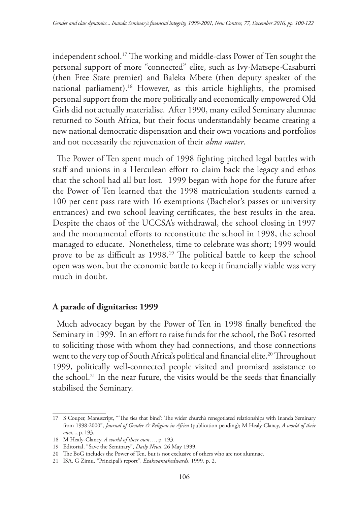independent school.17 The working and middle-class Power of Ten sought the personal support of more "connected" elite, such as Ivy-Matsepe-Casaburri (then Free State premier) and Baleka Mbete (then deputy speaker of the national parliament).18 However, as this article highlights, the promised personal support from the more politically and economically empowered Old Girls did not actually materialise. After 1990, many exiled Seminary alumnae returned to South Africa, but their focus understandably became creating a new national democratic dispensation and their own vocations and portfolios and not necessarily the rejuvenation of their *alma mater*.

The Power of Ten spent much of 1998 fighting pitched legal battles with staff and unions in a Herculean effort to claim back the legacy and ethos that the school had all but lost. 1999 began with hope for the future after the Power of Ten learned that the 1998 matriculation students earned a 100 per cent pass rate with 16 exemptions (Bachelor's passes or university entrances) and two school leaving certificates, the best results in the area. Despite the chaos of the UCCSA's withdrawal, the school closing in 1997 and the monumental efforts to reconstitute the school in 1998, the school managed to educate. Nonetheless, time to celebrate was short; 1999 would prove to be as difficult as 1998.19 The political battle to keep the school open was won, but the economic battle to keep it financially viable was very much in doubt.

#### **A parade of dignitaries: 1999**

Much advocacy began by the Power of Ten in 1998 finally benefited the Seminary in 1999. In an effort to raise funds for the school, the BoG resorted to soliciting those with whom they had connections, and those connections went to the very top of South Africa's political and financial elite.<sup>20</sup> Throughout 1999, politically well-connected people visited and promised assistance to the school.21 In the near future, the visits would be the seeds that financially stabilised the Seminary.

<sup>17</sup> S Couper, Manuscript, "'The ties that bind': The wider church's renegotiated relationships with Inanda Seminary from 1998-2000", *Journal of Gender & Religion in Africa* (publication pending); M Healy-Clancy, *A world of their own...*, p. 193.

<sup>18</sup> M Healy-Clancy, *A world of their own…*, p. 193.

<sup>19</sup> Editorial, "Save the Seminary", *Daily News*, 26 May 1999.

<sup>20</sup> The BoG includes the Power of Ten, but is not exclusive of others who are not alumnae.

<sup>21</sup> ISA, G Zimu, "Principal's report", *Ezakwamahedwards*, 1999, p. 2.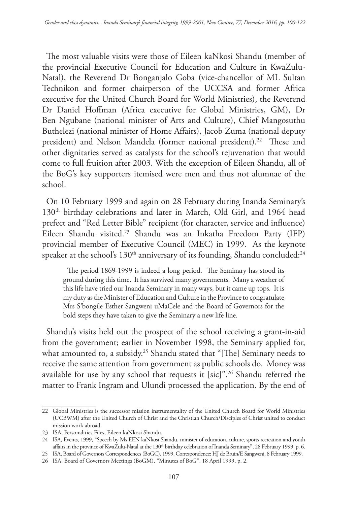The most valuable visits were those of Eileen kaNkosi Shandu (member of the provincial Executive Council for Education and Culture in KwaZulu-Natal), the Reverend Dr Bonganjalo Goba (vice-chancellor of ML Sultan Technikon and former chairperson of the UCCSA and former Africa executive for the United Church Board for World Ministries), the Reverend Dr Daniel Hoffman (Africa executive for Global Ministries, GM), Dr Ben Ngubane (national minister of Arts and Culture), Chief Mangosuthu Buthelezi (national minister of Home Affairs), Jacob Zuma (national deputy president) and Nelson Mandela (former national president).<sup>22</sup> These and other dignitaries served as catalysts for the school's rejuvenation that would come to full fruition after 2003. With the exception of Eileen Shandu, all of the BoG's key supporters itemised were men and thus not alumnae of the school.

On 10 February 1999 and again on 28 February during Inanda Seminary's 130<sup>th</sup> birthday celebrations and later in March, Old Girl, and 1964 head prefect and "Red Letter Bible" recipient (for character, service and influence) Eileen Shandu visited.23 Shandu was an Inkatha Freedom Party (IFP) provincial member of Executive Council (MEC) in 1999. As the keynote speaker at the school's 130<sup>th</sup> anniversary of its founding, Shandu concluded:<sup>24</sup>

The period 1869-1999 is indeed a long period. The Seminary has stood its ground during this time. It has survived many governments. Many a weather of this life have tried our Inanda Seminary in many ways, but it came up tops. It is my duty as the Minister of Education and Culture in the Province to congratulate Mrs S'bongile Esther Sangweni uMaCele and the Board of Governors for the bold steps they have taken to give the Seminary a new life line.

Shandu's visits held out the prospect of the school receiving a grant-in-aid from the government; earlier in November 1998, the Seminary applied for, what amounted to, a subsidy.<sup>25</sup> Shandu stated that "[The] Seminary needs to receive the same attention from government as public schools do. Money was available for use by any school that requests it [sic]".<sup>26</sup> Shandu referred the matter to Frank Ingram and Ulundi processed the application. By the end of

<sup>22</sup> Global Ministries is the successor mission instrumentality of the United Church Board for World Ministries (UCBWM) after the United Church of Christ and the Christian Church/Disciples of Christ united to conduct mission work abroad.

<sup>23</sup> ISA, Personalities Files, Eileen kaNkosi Shandu.

<sup>24</sup> ISA, Events, 1999, "Speech by Ms EEN kaNkosi Shandu, minister of education, culture, sports recreation and youth affairs in the province of KwaZulu-Natal at the 130<sup>th</sup> birthday celebration of Inanda Seminary", 28 February 1999, p. 6.

<sup>25</sup> ISA, Board of Governors Correspondences (BoGC), 1999, Correspondence: HJ de Bruin/E Sangweni, 8 February 1999. 26 ISA, Board of Governors Meetings (BoGM), "Minutes of BoG", 18 April 1999, p. 2.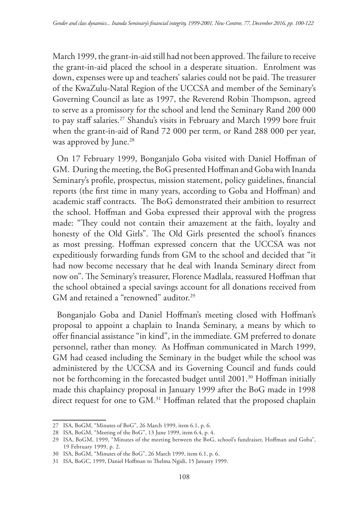March 1999, the grant-in-aid still had not been approved. The failure to receive the grant-in-aid placed the school in a desperate situation. Enrolment was down, expenses were up and teachers' salaries could not be paid. The treasurer of the KwaZulu-Natal Region of the UCCSA and member of the Seminary's Governing Council as late as 1997, the Reverend Robin Thompson, agreed to serve as a promissory for the school and lend the Seminary Rand 200 000 to pay staff salaries.<sup>27</sup> Shandu's visits in February and March 1999 bore fruit when the grant-in-aid of Rand 72 000 per term, or Rand 288 000 per year, was approved by June.<sup>28</sup>

On 17 February 1999, Bonganjalo Goba visited with Daniel Hoffman of GM. During the meeting, the BoG presented Hoffman and Goba with Inanda Seminary's profile, prospectus, mission statement, policy guidelines, financial reports (the first time in many years, according to Goba and Hoffman) and academic staff contracts. The BoG demonstrated their ambition to resurrect the school. Hoffman and Goba expressed their approval with the progress made: "They could not contain their amazement at the faith, loyalty and honesty of the Old Girls". The Old Girls presented the school's finances as most pressing. Hoffman expressed concern that the UCCSA was not expeditiously forwarding funds from GM to the school and decided that "it had now become necessary that he deal with Inanda Seminary direct from now on". The Seminary's treasurer, Florence Madlala, reassured Hoffman that the school obtained a special savings account for all donations received from GM and retained a "renowned" auditor.<sup>29</sup>

Bonganjalo Goba and Daniel Hoffman's meeting closed with Hoffman's proposal to appoint a chaplain to Inanda Seminary, a means by which to offer financial assistance "in kind", in the immediate. GM preferred to donate personnel, rather than money. As Hoffman communicated in March 1999, GM had ceased including the Seminary in the budget while the school was administered by the UCCSA and its Governing Council and funds could not be forthcoming in the forecasted budget until 2001.30 Hoffman initially made this chaplaincy proposal in January 1999 after the BoG made in 1998 direct request for one to GM.<sup>31</sup> Hoffman related that the proposed chaplain

<sup>27</sup> ISA, BoGM, "Minutes of BoG", 26 March 1999, item 6.1, p. 6.

<sup>28</sup> ISA, BoGM, "Meeting of the BoG", 13 June 1999, item 6.4, p. 4.

<sup>29</sup> ISA, BoGM, 1999, "Minutes of the meeting between the BoG, school's fundraiser, Hoffman and Goba", 19 February 1999, p. 2.

<sup>30</sup> ISA, BoGM, "Minutes of the BoG", 26 March 1999, item 6.1, p. 6.

<sup>31</sup> ISA, BoGC, 1999, Daniel Hoffman to Thelma Ngidi, 15 January 1999.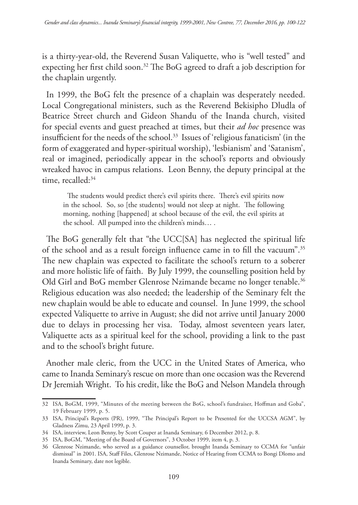is a thirty-year-old, the Reverend Susan Valiquette, who is "well tested" and expecting her first child soon.32 The BoG agreed to draft a job description for the chaplain urgently.

In 1999, the BoG felt the presence of a chaplain was desperately needed. Local Congregational ministers, such as the Reverend Bekisipho Dludla of Beatrice Street church and Gideon Shandu of the Inanda church, visited for special events and guest preached at times, but their *ad hoc* presence was insufficient for the needs of the school.33 Issues of 'religious fanaticism' (in the form of exaggerated and hyper-spiritual worship), 'lesbianism' and 'Satanism', real or imagined, periodically appear in the school's reports and obviously wreaked havoc in campus relations. Leon Benny, the deputy principal at the time, recalled:<sup>34</sup>

The students would predict there's evil spirits there. There's evil spirits now in the school. So, so [the students] would not sleep at night. The following morning, nothing [happened] at school because of the evil, the evil spirits at the school. All pumped into the children's minds… .

The BoG generally felt that "the UCC[SA] has neglected the spiritual life of the school and as a result foreign influence came in to fill the vacuum".35 The new chaplain was expected to facilitate the school's return to a soberer and more holistic life of faith. By July 1999, the counselling position held by Old Girl and BoG member Glenrose Nzimande became no longer tenable.<sup>36</sup> Religious education was also needed; the leadership of the Seminary felt the new chaplain would be able to educate and counsel. In June 1999, the school expected Valiquette to arrive in August; she did not arrive until January 2000 due to delays in processing her visa. Today, almost seventeen years later, Valiquette acts as a spiritual keel for the school, providing a link to the past and to the school's bright future.

Another male cleric, from the UCC in the United States of America, who came to Inanda Seminary's rescue on more than one occasion was the Reverend Dr Jeremiah Wright. To his credit, like the BoG and Nelson Mandela through

<sup>32</sup> ISA, BoGM, 1999, "Minutes of the meeting between the BoG, school's fundraiser, Hoffman and Goba", 19 February 1999, p. 5.

<sup>33</sup> ISA, Principal's Reports (PR), 1999, "The Principal's Report to be Presented for the UCCSA AGM", by Gladness Zimu, 23 April 1999, p. 3.

<sup>34</sup> ISA, interview, Leon Benny, by Scott Couper at Inanda Seminary, 6 December 2012, p. 8.

<sup>35</sup> ISA, BoGM, "Meeting of the Board of Governors", 3 October 1999, item 4, p. 3.

<sup>36</sup> Glenrose Nzimande, who served as a guidance counsellor, brought Inanda Seminary to CCMA for "unfair dismissal" in 2001. ISA, Staff Files, Glenrose Nzimande, Notice of Hearing from CCMA to Bongi Dlomo and Inanda Seminary, date not legible.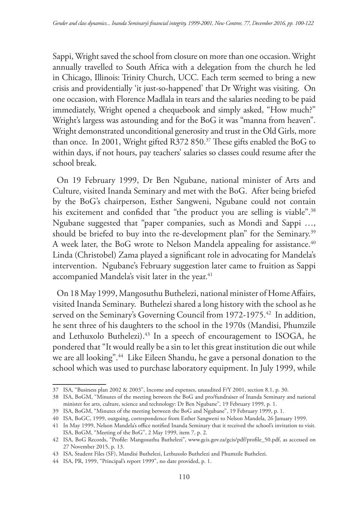Sappi, Wright saved the school from closure on more than one occasion. Wright annually travelled to South Africa with a delegation from the church he led in Chicago, Illinois: Trinity Church, UCC. Each term seemed to bring a new crisis and providentially 'it just-so-happened' that Dr Wright was visiting. On one occasion, with Florence Madlala in tears and the salaries needing to be paid immediately, Wright opened a chequebook and simply asked, "How much?" Wright's largess was astounding and for the BoG it was "manna from heaven". Wright demonstrated unconditional generosity and trust in the Old Girls, more than once. In 2001, Wright gifted R372 850.<sup>37</sup> These gifts enabled the BoG to within days, if not hours, pay teachers' salaries so classes could resume after the school break.

On 19 February 1999, Dr Ben Ngubane, national minister of Arts and Culture, visited Inanda Seminary and met with the BoG. After being briefed by the BoG's chairperson, Esther Sangweni, Ngubane could not contain his excitement and confided that "the product you are selling is viable".<sup>38</sup> Ngubane suggested that "paper companies, such as Mondi and Sappi …, should be briefed to buy into the re-development plan" for the Seminary.<sup>39</sup> A week later, the BoG wrote to Nelson Mandela appealing for assistance.<sup>40</sup> Linda (Christobel) Zama played a significant role in advocating for Mandela's intervention. Ngubane's February suggestion later came to fruition as Sappi accompanied Mandela's visit later in the year.<sup>41</sup>

On 18 May 1999, Mangosuthu Buthelezi, national minister of Home Affairs, visited Inanda Seminary. Buthelezi shared a long history with the school as he served on the Seminary's Governing Council from 1972-1975.<sup>42</sup> In addition, he sent three of his daughters to the school in the 1970s (Mandisi, Phumzile and Lethuxolo Buthelezi).<sup>43</sup> In a speech of encouragement to ISOGA, he pondered that "It would really be a sin to let this great institution die out while we are all looking".<sup>44</sup> Like Eileen Shandu, he gave a personal donation to the school which was used to purchase laboratory equipment. In July 1999, while

<sup>37</sup> ISA, "Business plan 2002 & 2003", Income and expenses, unaudited F/Y 2001, section 8.1, p. 30.

<sup>38</sup> ISA, BoGM, "Minutes of the meeting between the BoG and pro/fundraiser of Inanda Seminary and national minister for arts, culture, science and technology: Dr Ben Ngubane", 19 February 1999, p. 1.

<sup>39</sup> ISA, BoGM, "Minutes of the meeting between the BoG and Ngubane", 19 February 1999, p. 1.

<sup>40</sup> ISA, BoGC, 1999, outgoing, correspondence from Esther Sangweni to Nelson Mandela, 26 January 1999.

<sup>41</sup> In May 1999, Nelson Mandela's office notified Inanda Seminary that it received the school's invitation to visit. ISA, BoGM, "Meeting of the BoG", 2 May 1999, item 7, p. 2.

<sup>42</sup> ISA, BoG Records, "Profile: Mangosuthu Buthelezi", www.gcis.gov.za/gcis/pdf/profile\_50.pdf, as accessed on 27 November 2015, p. 13.

<sup>43</sup> ISA, Student Files (SF), Mandisi Buthelezi, Lethuxolo Buthelezi and Phumzile Buthelezi.

<sup>44</sup> ISA, PR, 1999, "Principal's report 1999", no date provided, p. 1.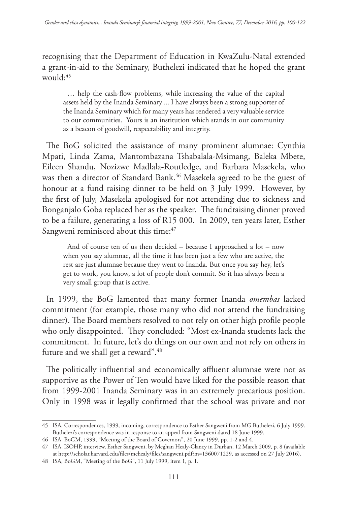recognising that the Department of Education in KwaZulu-Natal extended a grant-in-aid to the Seminary, Buthelezi indicated that he hoped the grant would: $45$ 

… help the cash-flow problems, while increasing the value of the capital assets held by the Inanda Seminary ... I have always been a strong supporter of the Inanda Seminary which for many years has rendered a very valuable service to our communities. Yours is an institution which stands in our community as a beacon of goodwill, respectability and integrity.

The BoG solicited the assistance of many prominent alumnae: Cynthia Mpati, Linda Zama, Mantombazana Tshabalala-Msimang, Baleka Mbete, Eileen Shandu, Nozizwe Madlala-Routledge, and Barbara Masekela, who was then a director of Standard Bank.<sup>46</sup> Masekela agreed to be the guest of honour at a fund raising dinner to be held on 3 July 1999. However, by the first of July, Masekela apologised for not attending due to sickness and Bonganjalo Goba replaced her as the speaker. The fundraising dinner proved to be a failure, generating a loss of R15 000. In 2009, ten years later, Esther Sangweni reminisced about this time:<sup>47</sup>

And of course ten of us then decided – because I approached a lot – now when you say alumnae, all the time it has been just a few who are active, the rest are just alumnae because they went to Inanda. But once you say hey, let's get to work, you know, a lot of people don't commit. So it has always been a very small group that is active.

In 1999, the BoG lamented that many former Inanda *omembas* lacked commitment (for example, those many who did not attend the fundraising dinner). The Board members resolved to not rely on other high profile people who only disappointed. They concluded: "Most ex-Inanda students lack the commitment. In future, let's do things on our own and not rely on others in future and we shall get a reward".<sup>48</sup>

The politically influential and economically affluent alumnae were not as supportive as the Power of Ten would have liked for the possible reason that from 1999-2001 Inanda Seminary was in an extremely precarious position. Only in 1998 was it legally confirmed that the school was private and not

<sup>45</sup> ISA, Correspondences, 1999, incoming, correspondence to Esther Sangweni from MG Buthelezi, 6 July 1999. Buthelezi's correspondence was in response to an appeal from Sangweni dated 18 June 1999.

<sup>46</sup> ISA, BoGM, 1999, "Meeting of the Board of Governors", 20 June 1999, pp. 1-2 and 4.

<sup>47</sup> ISA, ISOHP, interview, Esther Sangweni, by Meghan Healy-Clancy in Durban, 12 March 2009, p. 8 (available at http://scholar.harvard.edu/files/mehealy/files/sangweni.pdf?m=1360071229, as accessed on 27 July 2016).

<sup>48</sup> ISA, BoGM, "Meeting of the BoG", 11 July 1999, item 1, p. 1.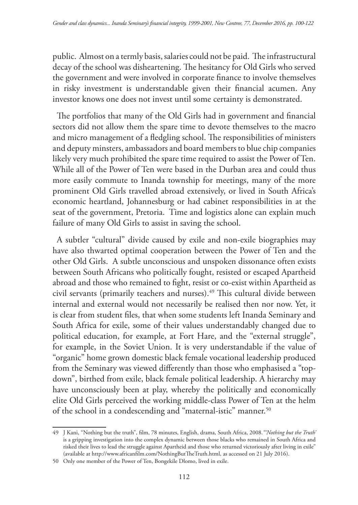public. Almost on a termly basis, salaries could not be paid. The infrastructural decay of the school was disheartening. The hesitancy for Old Girls who served the government and were involved in corporate finance to involve themselves in risky investment is understandable given their financial acumen. Any investor knows one does not invest until some certainty is demonstrated.

The portfolios that many of the Old Girls had in government and financial sectors did not allow them the spare time to devote themselves to the macro and micro management of a fledgling school. The responsibilities of ministers and deputy minsters, ambassadors and board members to blue chip companies likely very much prohibited the spare time required to assist the Power of Ten. While all of the Power of Ten were based in the Durban area and could thus more easily commute to Inanda township for meetings, many of the more prominent Old Girls travelled abroad extensively, or lived in South Africa's economic heartland, Johannesburg or had cabinet responsibilities in at the seat of the government, Pretoria. Time and logistics alone can explain much failure of many Old Girls to assist in saving the school.

A subtler "cultural" divide caused by exile and non-exile biographies may have also thwarted optimal cooperation between the Power of Ten and the other Old Girls. A subtle unconscious and unspoken dissonance often exists between South Africans who politically fought, resisted or escaped Apartheid abroad and those who remained to fight, resist or co-exist within Apartheid as civil servants (primarily teachers and nurses).49 This cultural divide between internal and external would not necessarily be realised then nor now. Yet, it is clear from student files, that when some students left Inanda Seminary and South Africa for exile, some of their values understandably changed due to political education, for example, at Fort Hare, and the "external struggle", for example, in the Soviet Union. It is very understandable if the value of "organic" home grown domestic black female vocational leadership produced from the Seminary was viewed differently than those who emphasised a "topdown", birthed from exile, black female political leadership. A hierarchy may have unconsciously been at play, whereby the politically and economically elite Old Girls perceived the working middle-class Power of Ten at the helm of the school in a condescending and "maternal-istic" manner.<sup>50</sup>

<sup>49</sup> J Kani, "Nothing but the truth", film, 78 minutes, English, drama, South Africa, 2008.*"'Nothing but the Truth'* is a gripping investigation into the complex dynamic between those blacks who remained in South Africa and risked their lives to lead the struggle against Apartheid and those who returned victoriously after living in exile" (available at http://www.africanfilm.com/NothingButTheTruth.html, as accessed on 21 July 2016).

<sup>50</sup> Only one member of the Power of Ten, Bongekile Dlomo, lived in exile.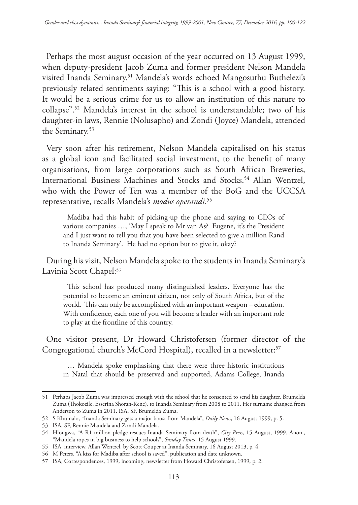Perhaps the most august occasion of the year occurred on 13 August 1999, when deputy-president Jacob Zuma and former president Nelson Mandela visited Inanda Seminary.51 Mandela's words echoed Mangosuthu Buthelezi's previously related sentiments saying: "This is a school with a good history. It would be a serious crime for us to allow an institution of this nature to collapse".52 Mandela's interest in the school is understandable; two of his daughter-in laws, Rennie (Nolusapho) and Zondi (Joyce) Mandela, attended the Seminary.53

Very soon after his retirement, Nelson Mandela capitalised on his status as a global icon and facilitated social investment, to the benefit of many organisations, from large corporations such as South African Breweries, International Business Machines and Stocks and Stocks.<sup>54</sup> Allan Wentzel, who with the Power of Ten was a member of the BoG and the UCCSA representative, recalls Mandela's *modus operandi*. 55

Madiba had this habit of picking-up the phone and saying to CEOs of various companies …, 'May I speak to Mr van As? Eugene, it's the President and I just want to tell you that you have been selected to give a million Rand to Inanda Seminary'. He had no option but to give it, okay?

During his visit, Nelson Mandela spoke to the students in Inanda Seminary's Lavinia Scott Chapel:<sup>56</sup>

This school has produced many distinguished leaders. Everyone has the potential to become an eminent citizen, not only of South Africa, but of the world. This can only be accomplished with an important weapon – education. With confidence, each one of you will become a leader with an important role to play at the frontline of this country.

One visitor present, Dr Howard Christofersen (former director of the Congregational church's McCord Hospital), recalled in a newsletter:<sup>57</sup>

… Mandela spoke emphasising that there were three historic institutions in Natal that should be preserved and supported, Adams College, Inanda

<sup>51</sup> Perhaps Jacob Zuma was impressed enough with the school that he consented to send his daughter, Brumelda Zuma (Thokozile, Esserina Shoran-Rene), to Inanda Seminary from 2008 to 2011. Her surname changed from Anderson to Zuma in 2011. ISA, SF, Brumelda Zuma.

<sup>52</sup> S Khumalo, "Inanda Seminary gets a major boost from Mandela", *Daily News*, 16 August 1999, p. 5.

<sup>53</sup> ISA, SF, Rennie Mandela and Zondi Mandela.

<sup>54</sup> Hlongwa, "A R1 million pledge rescues Inanda Seminary from death", *City Press*, 15 August, 1999. Anon., "Mandela ropes in big business to help schools", *Sunday Times*, 15 August 1999.

<sup>55</sup> ISA, interview, Allan Wentzel, by Scott Couper at Inanda Seminary, 16 August 2013, p. 4.

<sup>56</sup> M Peters, "A kiss for Madiba after school is saved", publication and date unknown.

<sup>57</sup> ISA, Correspondences, 1999, incoming, newsletter from Howard Christofersen, 1999, p. 2.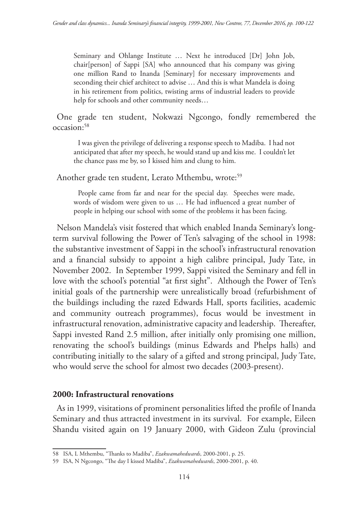Seminary and Ohlange Institute … Next he introduced [Dr] John Job, chair[person] of Sappi [SA] who announced that his company was giving one million Rand to Inanda [Seminary] for necessary improvements and seconding their chief architect to advise … And this is what Mandela is doing in his retirement from politics, twisting arms of industrial leaders to provide help for schools and other community needs…

One grade ten student, Nokwazi Ngcongo, fondly remembered the occasion:58

I was given the privilege of delivering a response speech to Madiba. I had not anticipated that after my speech, he would stand up and kiss me. I couldn't let the chance pass me by, so I kissed him and clung to him.

Another grade ten student, Lerato Mthembu, wrote:<sup>59</sup>

People came from far and near for the special day. Speeches were made, words of wisdom were given to us … He had influenced a great number of people in helping our school with some of the problems it has been facing.

Nelson Mandela's visit fostered that which enabled Inanda Seminary's longterm survival following the Power of Ten's salvaging of the school in 1998: the substantive investment of Sappi in the school's infrastructural renovation and a financial subsidy to appoint a high calibre principal, Judy Tate, in November 2002. In September 1999, Sappi visited the Seminary and fell in love with the school's potential "at first sight". Although the Power of Ten's initial goals of the partnership were unrealistically broad (refurbishment of the buildings including the razed Edwards Hall, sports facilities, academic and community outreach programmes), focus would be investment in infrastructural renovation, administrative capacity and leadership. Thereafter, Sappi invested Rand 2.5 million, after initially only promising one million, renovating the school's buildings (minus Edwards and Phelps halls) and contributing initially to the salary of a gifted and strong principal, Judy Tate, who would serve the school for almost two decades (2003-present).

## **2000: Infrastructural renovations**

As in 1999, visitations of prominent personalities lifted the profile of Inanda Seminary and thus attracted investment in its survival. For example, Eileen Shandu visited again on 19 January 2000, with Gideon Zulu (provincial

<sup>58</sup> ISA, L Mthembu, "Thanks to Madiba", *Ezakwamahedwards*, 2000-2001, p. 25.

<sup>59</sup> ISA, N Ngcongo, "The day I kissed Madiba", *Ezakwamahedwards*, 2000-2001, p. 40.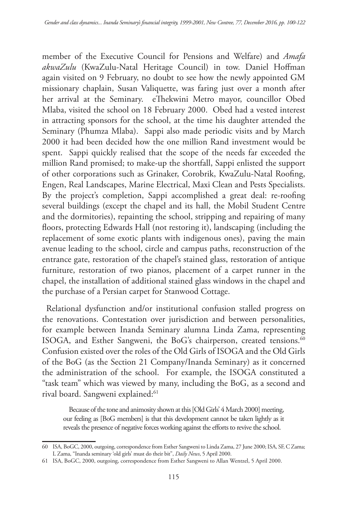member of the Executive Council for Pensions and Welfare) and *Amafa akwaZulu* (KwaZulu-Natal Heritage Council) in tow. Daniel Hoffman again visited on 9 February, no doubt to see how the newly appointed GM missionary chaplain, Susan Valiquette, was faring just over a month after her arrival at the Seminary. eThekwini Metro mayor, councillor Obed Mlaba, visited the school on 18 February 2000. Obed had a vested interest in attracting sponsors for the school, at the time his daughter attended the Seminary (Phumza Mlaba). Sappi also made periodic visits and by March 2000 it had been decided how the one million Rand investment would be spent. Sappi quickly realised that the scope of the needs far exceeded the million Rand promised; to make-up the shortfall, Sappi enlisted the support of other corporations such as Grinaker, Corobrik, KwaZulu-Natal Roofing, Engen, Real Landscapes, Marine Electrical, Maxi Clean and Pests Specialists. By the project's completion, Sappi accomplished a great deal: re-roofing several buildings (except the chapel and its hall, the Mobil Student Centre and the dormitories), repainting the school, stripping and repairing of many floors, protecting Edwards Hall (not restoring it), landscaping (including the replacement of some exotic plants with indigenous ones), paving the main avenue leading to the school, circle and campus paths, reconstruction of the entrance gate, restoration of the chapel's stained glass, restoration of antique furniture, restoration of two pianos, placement of a carpet runner in the chapel, the installation of additional stained glass windows in the chapel and the purchase of a Persian carpet for Stanwood Cottage.

Relational dysfunction and/or institutional confusion stalled progress on the renovations. Contestation over jurisdiction and between personalities, for example between Inanda Seminary alumna Linda Zama, representing ISOGA, and Esther Sangweni, the BoG's chairperson, created tensions.<sup>60</sup> Confusion existed over the roles of the Old Girls of ISOGA and the Old Girls of the BoG (as the Section 21 Company/Inanda Seminary) as it concerned the administration of the school. For example, the ISOGA constituted a "task team" which was viewed by many, including the BoG, as a second and rival board. Sangweni explained:<sup>61</sup>

Because of the tone and animosity shown at this [Old Girls' 4 March 2000] meeting, our feeling as [BoG members] is that this development cannot be taken lightly as it reveals the presence of negative forces working against the efforts to revive the school.

<sup>60</sup> ISA, BoGC, 2000, outgoing, correspondence from Esther Sangweni to Linda Zama, 27 June 2000; ISA, SF, C Zama; L Zama, "Inanda seminary 'old girls' must do their bit", *Daily News*, 5 April 2000.

<sup>61</sup> ISA, BoGC, 2000, outgoing, correspondence from Esther Sangweni to Allan Wentzel, 5 April 2000.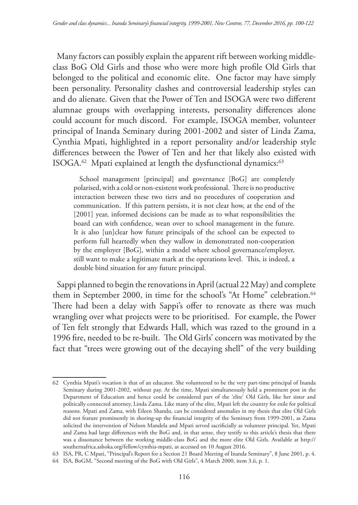Many factors can possibly explain the apparent rift between working middleclass BoG Old Girls and those who were more high profile Old Girls that belonged to the political and economic elite. One factor may have simply been personality. Personality clashes and controversial leadership styles can and do alienate. Given that the Power of Ten and ISOGA were two different alumnae groups with overlapping interests, personality differences alone could account for much discord. For example, ISOGA member, volunteer principal of Inanda Seminary during 2001-2002 and sister of Linda Zama, Cynthia Mpati, highlighted in a report personality and/or leadership style differences between the Power of Ten and her that likely also existed with ISOGA.<sup>62</sup> Mpati explained at length the dysfunctional dynamics:<sup>63</sup>

School management [principal] and governance [BoG] are completely polarised, with a cold or non-existent work professional. There is no productive interaction between these two tiers and no procedures of cooperation and communication. If this pattern persists, it is not clear how, at the end of the [2001] year, informed decisions can be made as to what responsibilities the board can with confidence, wean over to school management in the future. It is also [un]clear how future principals of the school can be expected to perform full heartedly when they wallow in demonstrated non-cooperation by the employer [BoG], within a model where school governance/employer, still want to make a legitimate mark at the operations level. This, is indeed, a double bind situation for any future principal.

Sappi planned to begin the renovations in April (actual 22 May) and complete them in September 2000, in time for the school's "At Home" celebration.<sup>64</sup> There had been a delay with Sappi's offer to renovate as there was much wrangling over what projects were to be prioritised. For example, the Power of Ten felt strongly that Edwards Hall, which was razed to the ground in a 1996 fire, needed to be re-built. The Old Girls' concern was motivated by the fact that "trees were growing out of the decaying shell" of the very building

<sup>62</sup> Cynthia Mpati's vocation is that of an educator. She volunteered to be the very part-time principal of Inanda Seminary during 2001-2002, without pay. At the time, Mpati simultaneously held a prominent post in the Department of Education and hence could be considered part of the 'elite' Old Girls, like her sister and politically connected attorney, Linda Zama. Like many of the elite, Mpati left the country for exile for political reasons. Mpati and Zama, with Eileen Shandu, can be considered anomalies in my thesis that elite Old Girls did not feature prominently in shoring-up the financial integrity of the Seminary from 1999-2001, as Zama solicited the intervention of Nelson Mandela and Mpati served sacrificially as volunteer principal. Yet, Mpati and Zama had large differences with the BoG and, in that sense, they testify to this article's thesis that there was a dissonance between the working middle-class BoG and the more elite Old Girls. Available at http:// southernafrica.ashoka.org/fellow/cynthia-mpati, as accessed on 10 August 2016.

<sup>63</sup> ISA, PR, C Mpati, "Principal's Report for a Section 21 Board Meeting of Inanda Seminary", 8 June 2001, p. 4.

<sup>64</sup> ISA, BoGM, "Second meeting of the BoG with Old Girls", 4 March 2000, item 3.ii, p. 1.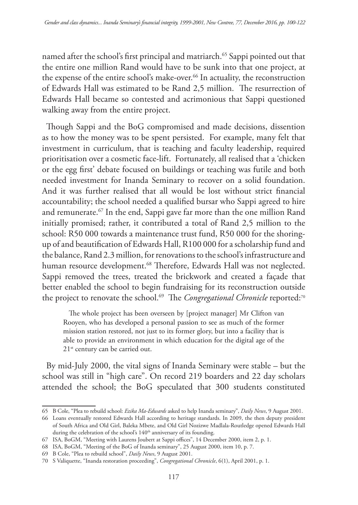named after the school's first principal and matriarch.<sup>65</sup> Sappi pointed out that the entire one million Rand would have to be sunk into that one project, at the expense of the entire school's make-over.<sup>66</sup> In actuality, the reconstruction of Edwards Hall was estimated to be Rand 2,5 million. The resurrection of Edwards Hall became so contested and acrimonious that Sappi questioned walking away from the entire project.

Though Sappi and the BoG compromised and made decisions, dissention as to how the money was to be spent persisted. For example, many felt that investment in curriculum, that is teaching and faculty leadership, required prioritisation over a cosmetic face-lift. Fortunately, all realised that a 'chicken or the egg first' debate focused on buildings or teaching was futile and both needed investment for Inanda Seminary to recover on a solid foundation. And it was further realised that all would be lost without strict financial accountability; the school needed a qualified bursar who Sappi agreed to hire and remunerate.67 In the end, Sappi gave far more than the one million Rand initially promised; rather, it contributed a total of Rand 2,5 million to the school: R50 000 towards a maintenance trust fund, R50 000 for the shoringup of and beautification of Edwards Hall, R100 000 for a scholarship fund and the balance, Rand 2.3 million, for renovations to the school's infrastructure and human resource development.<sup>68</sup> Therefore, Edwards Hall was not neglected. Sappi removed the trees, treated the brickwork and created a façade that better enabled the school to begin fundraising for its reconstruction outside the project to renovate the school.<sup>69</sup> The *Congregational Chronicle* reported:<sup>70</sup>

The whole project has been overseen by [project manager] Mr Clifton van Rooyen, who has developed a personal passion to see as much of the former mission station restored, not just to its former glory, but into a facility that is able to provide an environment in which education for the digital age of the 21<sup>st</sup> century can be carried out.

By mid-July 2000, the vital signs of Inanda Seminary were stable – but the school was still in "high care". On record 219 boarders and 22 day scholars attended the school; the BoG speculated that 300 students constituted

<sup>65</sup> B Cole, "Plea to rebuild school: *Ezika Ma-Edwards* asked to help Inanda seminary", *Daily News*, 9 August 2001.

<sup>66</sup> Loans eventually restored Edwards Hall according to heritage standards. In 2009, the then deputy president of South Africa and Old Girl, Baleka Mbete, and Old Girl Nozizwe Madlala-Routledge opened Edwards Hall during the celebration of the school's 140<sup>th</sup> anniversary of its founding.

<sup>67</sup> ISA, BoGM, "Meeting with Laurens Joubert at Sappi offices", 14 December 2000, item 2, p. 1.

<sup>68</sup> ISA, BoGM, "Meeting of the BoG of Inanda seminary", 25 August 2000, item 10, p. 7.

<sup>69</sup> B Cole, "Plea to rebuild school", *Daily News*, 9 August 2001.

<sup>70</sup> S Valiquette, "Inanda restoration proceeding", *Congregational Chronicle*, 6(1), April 2001, p. 1.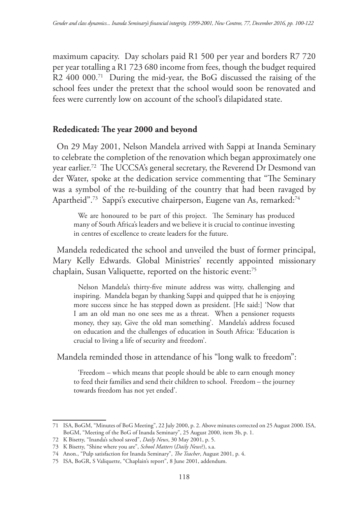maximum capacity. Day scholars paid R1 500 per year and borders R7 720 per year totalling a R1 723 680 income from fees, though the budget required R2 400 000.<sup>71</sup> During the mid-year, the BoG discussed the raising of the school fees under the pretext that the school would soon be renovated and fees were currently low on account of the school's dilapidated state.

### **Rededicated: The year 2000 and beyond**

On 29 May 2001, Nelson Mandela arrived with Sappi at Inanda Seminary to celebrate the completion of the renovation which began approximately one year earlier.72 The UCCSA's general secretary, the Reverend Dr Desmond van der Water, spoke at the dedication service commenting that "The Seminary was a symbol of the re-building of the country that had been ravaged by Apartheid".73 Sappi's executive chairperson, Eugene van As, remarked:74

We are honoured to be part of this project. The Seminary has produced many of South Africa's leaders and we believe it is crucial to continue investing in centres of excellence to create leaders for the future.

Mandela rededicated the school and unveiled the bust of former principal, Mary Kelly Edwards. Global Ministries' recently appointed missionary chaplain, Susan Valiquette, reported on the historic event:75

Nelson Mandela's thirty-five minute address was witty, challenging and inspiring. Mandela began by thanking Sappi and quipped that he is enjoying more success since he has stepped down as president. [He said:] 'Now that I am an old man no one sees me as a threat. When a pensioner requests money, they say, Give the old man something'. Mandela's address focused on education and the challenges of education in South Africa: 'Education is crucial to living a life of security and freedom'.

Mandela reminded those in attendance of his "long walk to freedom":

'Freedom – which means that people should be able to earn enough money to feed their families and send their children to school. Freedom – the journey towards freedom has not yet ended'.

<sup>71</sup> ISA, BoGM, "Minutes of BoG Meeting", 22 July 2000, p. 2. Above minutes corrected on 25 August 2000. ISA, BoGM, "Meeting of the BoG of Inanda Seminary", 25 August 2000, item 3b, p. 1.

<sup>72</sup> K Bisetty, "Inanda's school saved", *Daily News*, 30 May 2001, p. 5.

<sup>73</sup> K Bisetty, "Shine where you are", *School Matters* (*Daily News*?), s.a.

<sup>74</sup> Anon., "Pulp satisfaction for Inanda Seminary", *The Teacher*, August 2001, p. 4.

<sup>75</sup> ISA, BoGR, S Valiquette, "Chaplain's report", 8 June 2001, addendum.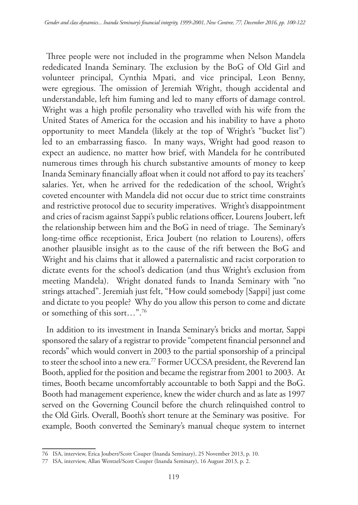Three people were not included in the programme when Nelson Mandela rededicated Inanda Seminary. The exclusion by the BoG of Old Girl and volunteer principal, Cynthia Mpati, and vice principal, Leon Benny, were egregious. The omission of Jeremiah Wright, though accidental and understandable, left him fuming and led to many efforts of damage control. Wright was a high profile personality who travelled with his wife from the United States of America for the occasion and his inability to have a photo opportunity to meet Mandela (likely at the top of Wright's "bucket list") led to an embarrassing fiasco. In many ways, Wright had good reason to expect an audience, no matter how brief, with Mandela for he contributed numerous times through his church substantive amounts of money to keep Inanda Seminary financially afloat when it could not afford to pay its teachers' salaries. Yet, when he arrived for the rededication of the school, Wright's coveted encounter with Mandela did not occur due to strict time constraints and restrictive protocol due to security imperatives. Wright's disappointment and cries of racism against Sappi's public relations officer, Lourens Joubert, left the relationship between him and the BoG in need of triage. The Seminary's long-time office receptionist, Erica Joubert (no relation to Lourens), offers another plausible insight as to the cause of the rift between the BoG and Wright and his claims that it allowed a paternalistic and racist corporation to dictate events for the school's dedication (and thus Wright's exclusion from meeting Mandela). Wright donated funds to Inanda Seminary with "no strings attached". Jeremiah just felt, "How could somebody [Sappi] just come and dictate to you people? Why do you allow this person to come and dictate or something of this sort…".76

In addition to its investment in Inanda Seminary's bricks and mortar, Sappi sponsored the salary of a registrar to provide "competent financial personnel and records" which would convert in 2003 to the partial sponsorship of a principal to steer the school into a new era.77 Former UCCSA president, the Reverend Ian Booth, applied for the position and became the registrar from 2001 to 2003. At times, Booth became uncomfortably accountable to both Sappi and the BoG. Booth had management experience, knew the wider church and as late as 1997 served on the Governing Council before the church relinquished control to the Old Girls. Overall, Booth's short tenure at the Seminary was positive. For example, Booth converted the Seminary's manual cheque system to internet

<sup>76</sup> ISA, interview, Erica Joubert/Scott Couper (Inanda Seminary), 25 November 2013, p. 10.

<sup>77</sup> ISA, interview, Allan Wentzel/Scott Couper (Inanda Seminary), 16 August 2013, p. 2.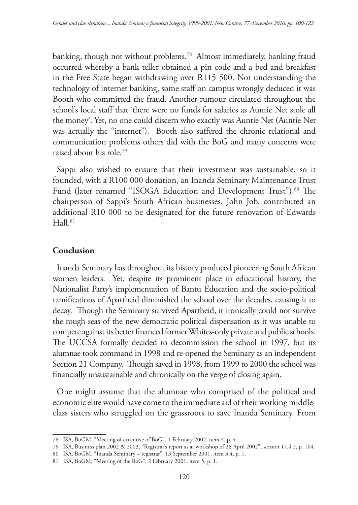banking, though not without problems.78 Almost immediately, banking fraud occurred whereby a bank teller obtained a pin code and a bed and breakfast in the Free State began withdrawing over R115 500. Not understanding the technology of internet banking, some staff on campus wrongly deduced it was Booth who committed the fraud. Another rumour circulated throughout the school's local staff that 'there were no funds for salaries as Auntie Net stole all the money'. Yet, no one could discern who exactly was Auntie Net (Auntie Net was actually the "internet"). Booth also suffered the chronic relational and communication problems others did with the BoG and many concerns were raised about his role.79

Sappi also wished to ensure that their investment was sustainable, so it founded, with a R100 000 donation, an Inanda Seminary Maintenance Trust Fund (later renamed "ISOGA Education and Development Trust").<sup>80</sup> The chairperson of Sappi's South African businesses, John Job, contributed an additional R10 000 to be designated for the future renovation of Edwards  $Hall.81$ 

## **Conclusion**

Inanda Seminary has throughout its history produced pioneering South African women leaders. Yet, despite its prominent place in educational history, the Nationalist Party's implementation of Bantu Education and the socio-political ramifications of Apartheid diminished the school over the decades, causing it to decay. Though the Seminary survived Apartheid, it ironically could not survive the rough seas of the new democratic political dispensation as it was unable to compete against its better financed former Whites-only private and public schools. The UCCSA formally decided to decommission the school in 1997, but its alumnae took command in 1998 and re-opened the Seminary as an independent Section 21 Company. Though saved in 1998, from 1999 to 2000 the school was financially unsustainable and chronically on the verge of closing again.

One might assume that the alumnae who comprised of the political and economic elite would have come to the immediate aid of their working middleclass sisters who struggled on the grassroots to save Inanda Seminary. From

<sup>78</sup> ISA, BoGM, "Meeting of executive of BoG", 1 February 2002, item 4, p. 4.

<sup>79</sup> ISA, Business plan 2002 & 2003, "Registrar's report as at workshop of 28 April 2002", section 17.4.2, p. 104.

<sup>80</sup> ISA, BoGM, "Inanda Seminary – registrar", 13 September 2001, item 3.4, p. 1.

<sup>81</sup> ISA, BoGM, "Meeting of the BoG", 2 February 2001, item 5, p. 1.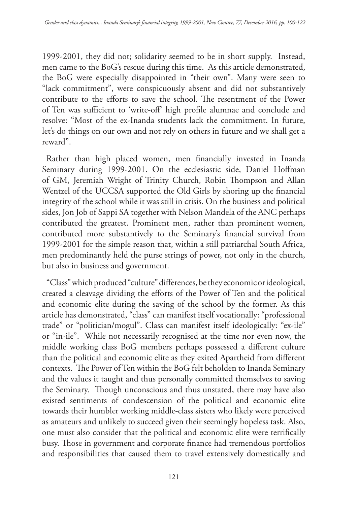1999-2001, they did not; solidarity seemed to be in short supply. Instead, men came to the BoG's rescue during this time. As this article demonstrated, the BoG were especially disappointed in "their own". Many were seen to "lack commitment", were conspicuously absent and did not substantively contribute to the efforts to save the school. The resentment of the Power of Ten was sufficient to 'write-off' high profile alumnae and conclude and resolve: "Most of the ex-Inanda students lack the commitment. In future, let's do things on our own and not rely on others in future and we shall get a reward".

Rather than high placed women, men financially invested in Inanda Seminary during 1999-2001. On the ecclesiastic side, Daniel Hoffman of GM, Jeremiah Wright of Trinity Church, Robin Thompson and Allan Wentzel of the UCCSA supported the Old Girls by shoring up the financial integrity of the school while it was still in crisis. On the business and political sides, Jon Job of Sappi SA together with Nelson Mandela of the ANC perhaps contributed the greatest. Prominent men, rather than prominent women, contributed more substantively to the Seminary's financial survival from 1999-2001 for the simple reason that, within a still patriarchal South Africa, men predominantly held the purse strings of power, not only in the church, but also in business and government.

"Class" which produced "culture" differences, be they economic or ideological, created a cleavage dividing the efforts of the Power of Ten and the political and economic elite during the saving of the school by the former. As this article has demonstrated, "class" can manifest itself vocationally: "professional trade" or "politician/mogul". Class can manifest itself ideologically: "ex-ile" or "in-ile". While not necessarily recognised at the time nor even now, the middle working class BoG members perhaps possessed a different culture than the political and economic elite as they exited Apartheid from different contexts. The Power of Ten within the BoG felt beholden to Inanda Seminary and the values it taught and thus personally committed themselves to saving the Seminary. Though unconscious and thus unstated, there may have also existed sentiments of condescension of the political and economic elite towards their humbler working middle-class sisters who likely were perceived as amateurs and unlikely to succeed given their seemingly hopeless task. Also, one must also consider that the political and economic elite were terrifically busy. Those in government and corporate finance had tremendous portfolios and responsibilities that caused them to travel extensively domestically and